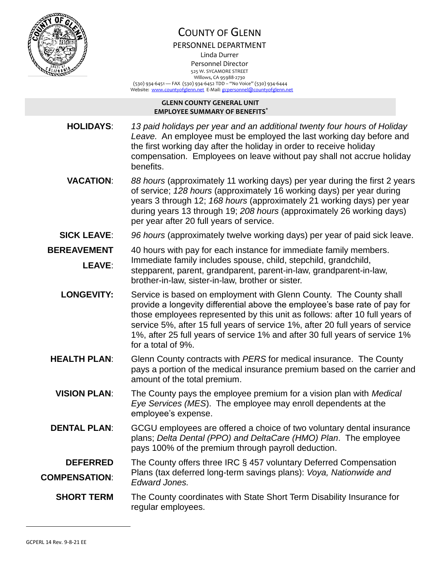

# COUNTY OF GLENN

PERSONNEL DEPARTMENT

Linda Durrer Personnel Director

525 W. SYCAMORE STREET Willows, CA 95988-2730

 (530) 934-6451 — FAX (530) 934-6452 TDD – "No Voice" (530) 934-6444 Website: [www.countyofglenn.net](http://www.countyofglenn.net/) E-Mail[: gcpersonnel@countyofglenn.net](mailto:gcpersonnel@countyofglenn.net)

#### **GLENN COUNTY GENERAL UNIT EMPLOYEE SUMMARY OF BENEFITS\***

**HOLIDAYS**: *13 paid holidays per year and an additional twenty four hours of Holiday Leave.* An employee must be employed the last working day before and the first working day after the holiday in order to receive holiday compensation. Employees on leave without pay shall not accrue holiday benefits.

**VACATION**: *88 hours* (approximately 11 working days) per year during the first 2 years of service; *128 hours* (approximately 16 working days) per year during years 3 through 12; *168 hours* (approximately 21 working days) per year during years 13 through 19; *208 hours* (approximately 26 working days) per year after 20 full years of service.

## **SICK LEAVE**: *96 hours* (approximately twelve working days) per year of paid sick leave.

**BEREAVEMENT LEAVE**: 40 hours with pay for each instance for immediate family members. Immediate family includes spouse, child, stepchild, grandchild, stepparent, parent, grandparent, parent-in-law, grandparent-in-law, brother-in-law, sister-in-law, brother or sister.

- **LONGEVITY:** Service is based on employment with Glenn County. The County shall provide a longevity differential above the employee's base rate of pay for those employees represented by this unit as follows: after 10 full years of service 5%, after 15 full years of service 1%, after 20 full years of service 1%, after 25 full years of service 1% and after 30 full years of service 1% for a total of 9%.
- **HEALTH PLAN**: Glenn County contracts with *PERS* for medical insurance. The County pays a portion of the medical insurance premium based on the carrier and amount of the total premium.
	- **VISION PLAN**: The County pays the employee premium for a vision plan with *Medical Eye Services (MES*). The employee may enroll dependents at the employee's expense.
- **DENTAL PLAN:** GCGU employees are offered a choice of two voluntary dental insurance plans; *Delta Dental (PPO) and DeltaCare (HMO) Plan*. The employee pays 100% of the premium through payroll deduction.

#### **DEFERRED COMPENSATION**: The County offers three IRC § 457 voluntary Deferred Compensation Plans (tax deferred long-term savings plans): *Voya, Nationwide and Edward Jones.*

### **SHORT TERM** The County coordinates with State Short Term Disability Insurance for regular employees.